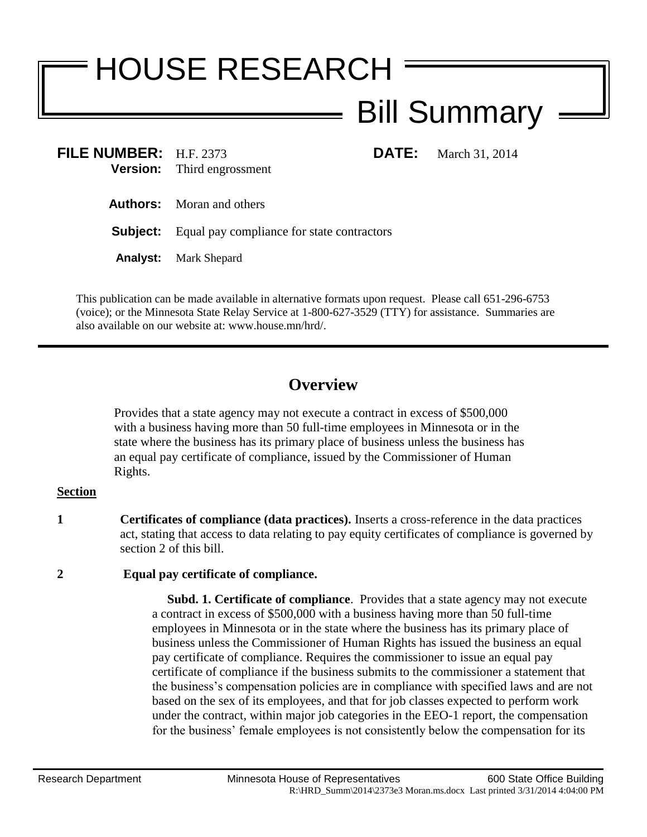# HOUSE RESEARCH Bill Summary

**FILE NUMBER:** H.F. 2373 **DATE:** March 31, 2014 **Version:** Third engrossment

**Authors:** Moran and others

**Subject:** Equal pay compliance for state contractors

**Analyst:** Mark Shepard

This publication can be made available in alternative formats upon request. Please call 651-296-6753 (voice); or the Minnesota State Relay Service at 1-800-627-3529 (TTY) for assistance. Summaries are also available on our website at: www.house.mn/hrd/.

## **Overview**

Provides that a state agency may not execute a contract in excess of \$500,000 with a business having more than 50 full-time employees in Minnesota or in the state where the business has its primary place of business unless the business has an equal pay certificate of compliance, issued by the Commissioner of Human Rights.

#### **Section**

**1 Certificates of compliance (data practices).** Inserts a cross-reference in the data practices act, stating that access to data relating to pay equity certificates of compliance is governed by section 2 of this bill.

### **2 Equal pay certificate of compliance.**

 **Subd. 1. Certificate of compliance**. Provides that a state agency may not execute a contract in excess of \$500,000 with a business having more than 50 full-time employees in Minnesota or in the state where the business has its primary place of business unless the Commissioner of Human Rights has issued the business an equal pay certificate of compliance. Requires the commissioner to issue an equal pay certificate of compliance if the business submits to the commissioner a statement that the business's compensation policies are in compliance with specified laws and are not based on the sex of its employees, and that for job classes expected to perform work under the contract, within major job categories in the EEO-1 report, the compensation for the business' female employees is not consistently below the compensation for its